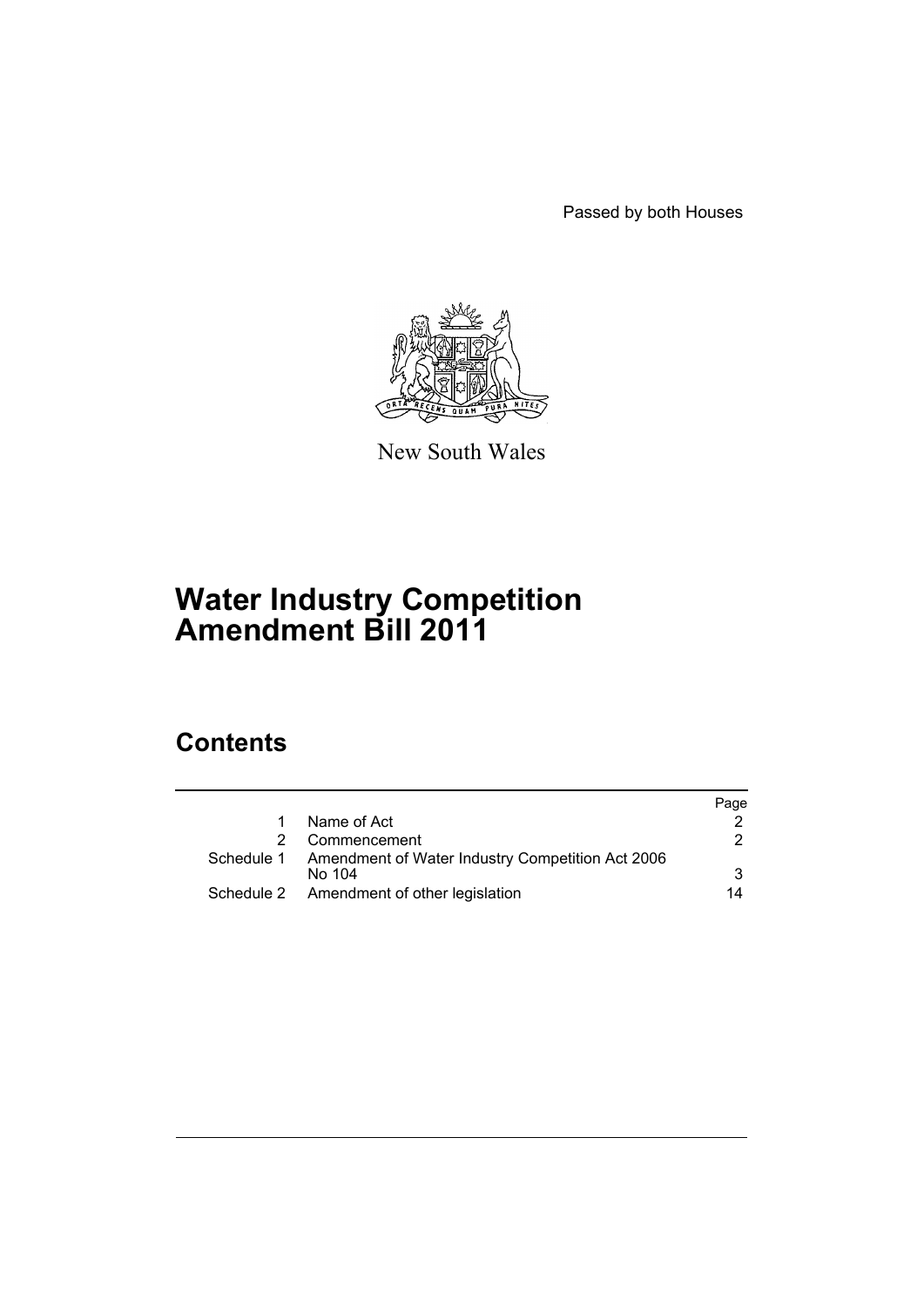Passed by both Houses



New South Wales

# **Water Industry Competition Amendment Bill 2011**

# **Contents**

|              |                                                             | Page |
|--------------|-------------------------------------------------------------|------|
| $\mathbf{1}$ | Name of Act                                                 |      |
| 2            | Commencement                                                | 2.   |
|              | Schedule 1 Amendment of Water Industry Competition Act 2006 |      |
|              | No 104                                                      | 3    |
|              | Schedule 2 Amendment of other legislation                   | 14   |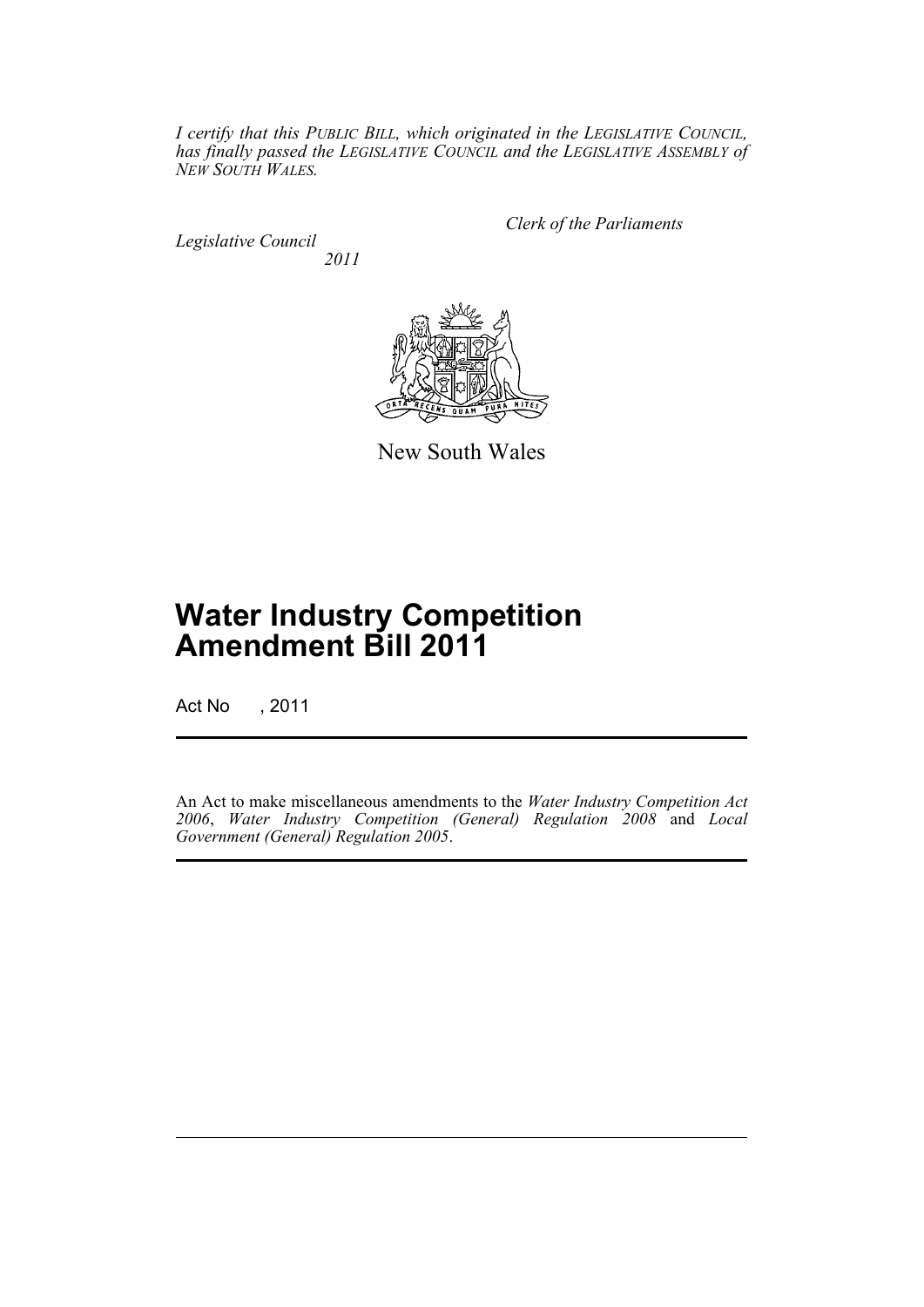*I certify that this PUBLIC BILL, which originated in the LEGISLATIVE COUNCIL, has finally passed the LEGISLATIVE COUNCIL and the LEGISLATIVE ASSEMBLY of NEW SOUTH WALES.*

*Legislative Council 2011* *Clerk of the Parliaments*



New South Wales

# **Water Industry Competition Amendment Bill 2011**

Act No , 2011

An Act to make miscellaneous amendments to the *Water Industry Competition Act 2006*, *Water Industry Competition (General) Regulation 2008* and *Local Government (General) Regulation 2005*.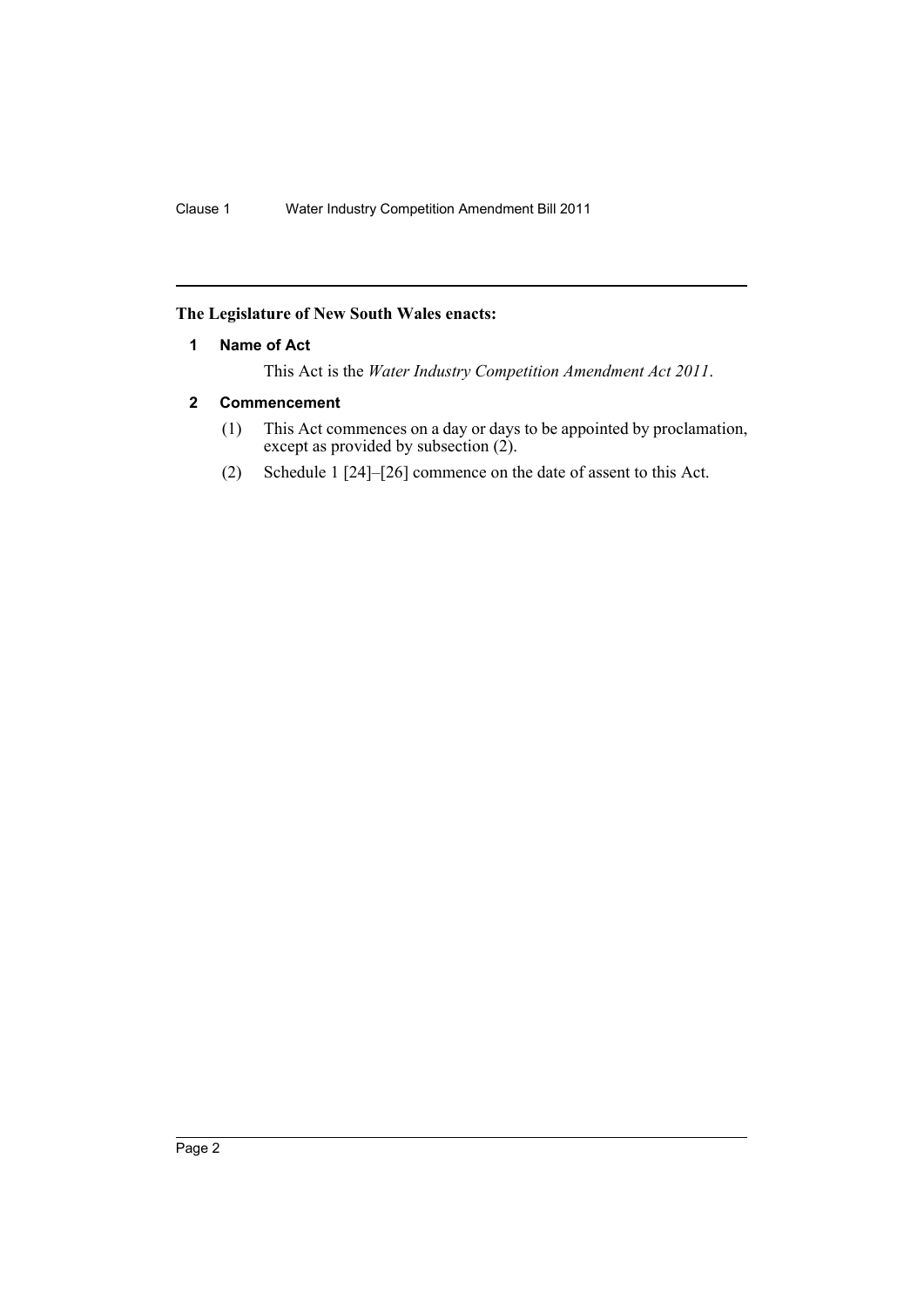## <span id="page-3-0"></span>**The Legislature of New South Wales enacts:**

## **1 Name of Act**

This Act is the *Water Industry Competition Amendment Act 2011*.

## <span id="page-3-1"></span>**2 Commencement**

- (1) This Act commences on a day or days to be appointed by proclamation, except as provided by subsection (2).
- (2) Schedule 1 [24]–[26] commence on the date of assent to this Act.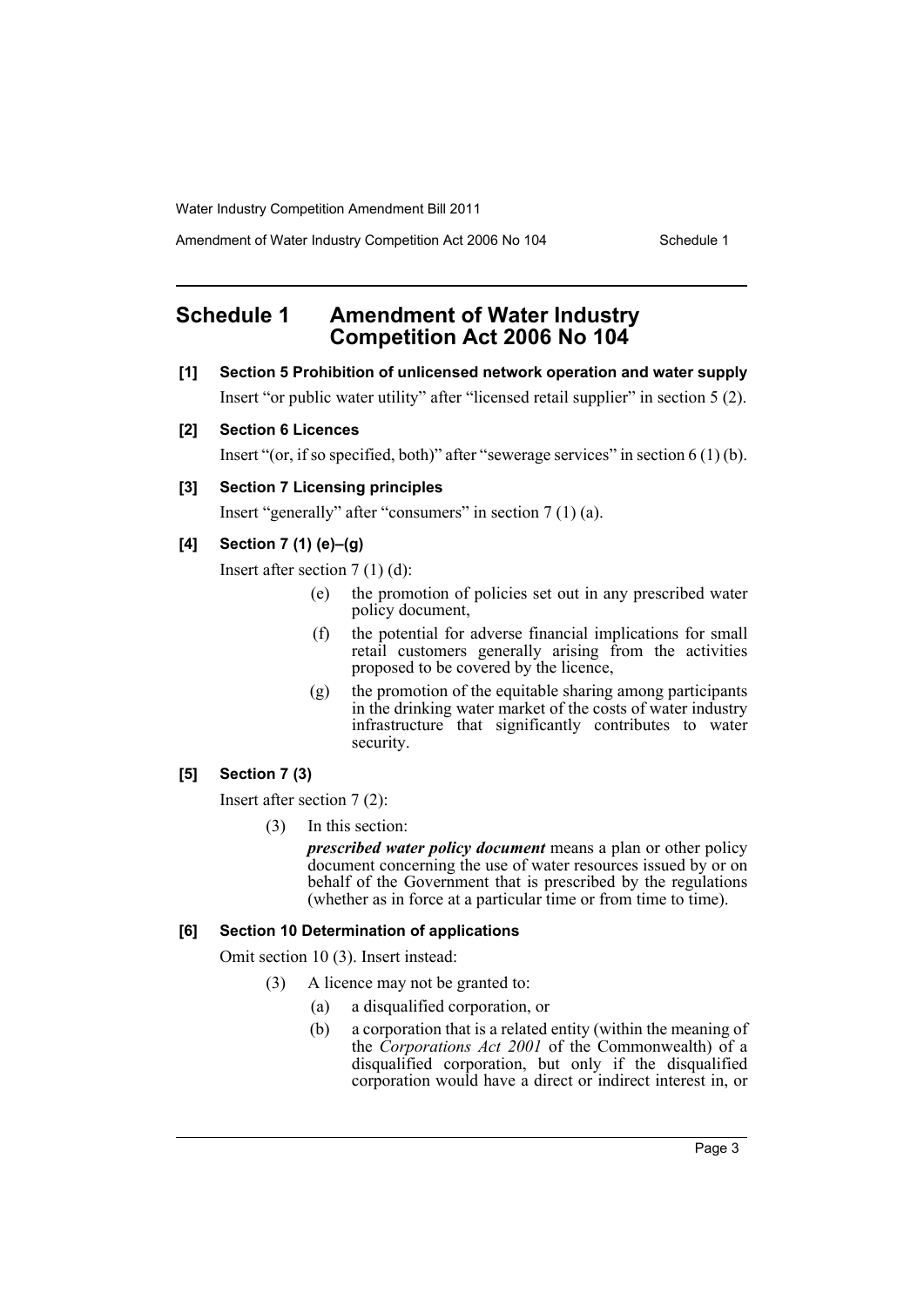Amendment of Water Industry Competition Act 2006 No 104 Schedule 1

## <span id="page-4-0"></span>**Schedule 1 Amendment of Water Industry Competition Act 2006 No 104**

- **[1] Section 5 Prohibition of unlicensed network operation and water supply** Insert "or public water utility" after "licensed retail supplier" in section 5 (2).
- **[2] Section 6 Licences**

Insert "(or, if so specified, both)" after "sewerage services" in section 6 (1) (b).

## **[3] Section 7 Licensing principles**

Insert "generally" after "consumers" in section 7 (1) (a).

## **[4] Section 7 (1) (e)–(g)**

Insert after section 7 (1) (d):

- (e) the promotion of policies set out in any prescribed water policy document,
- (f) the potential for adverse financial implications for small retail customers generally arising from the activities proposed to be covered by the licence,
- (g) the promotion of the equitable sharing among participants in the drinking water market of the costs of water industry infrastructure that significantly contributes to water security.

## **[5] Section 7 (3)**

Insert after section 7 (2):

(3) In this section:

*prescribed water policy document* means a plan or other policy document concerning the use of water resources issued by or on behalf of the Government that is prescribed by the regulations (whether as in force at a particular time or from time to time).

## **[6] Section 10 Determination of applications**

Omit section 10 (3). Insert instead:

- (3) A licence may not be granted to:
	- (a) a disqualified corporation, or
	- (b) a corporation that is a related entity (within the meaning of the *Corporations Act 2001* of the Commonwealth) of a disqualified corporation, but only if the disqualified corporation would have a direct or indirect interest in, or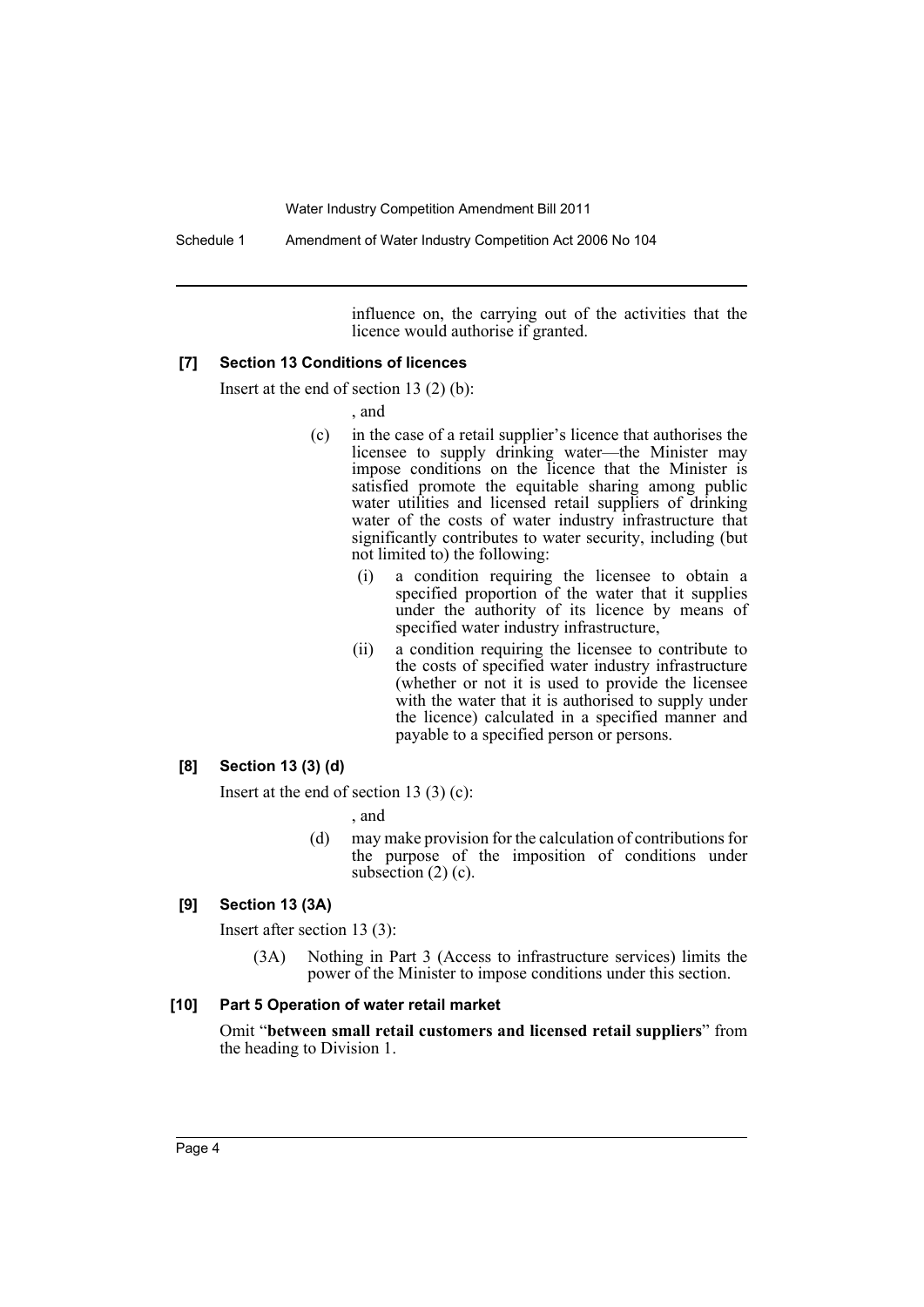Schedule 1 Amendment of Water Industry Competition Act 2006 No 104

influence on, the carrying out of the activities that the licence would authorise if granted.

#### **[7] Section 13 Conditions of licences**

Insert at the end of section 13 (2) (b):

, and

- (c) in the case of a retail supplier's licence that authorises the licensee to supply drinking water—the Minister may impose conditions on the licence that the Minister is satisfied promote the equitable sharing among public water utilities and licensed retail suppliers of drinking water of the costs of water industry infrastructure that significantly contributes to water security, including (but not limited to) the following:
	- (i) a condition requiring the licensee to obtain a specified proportion of the water that it supplies under the authority of its licence by means of specified water industry infrastructure,
	- (ii) a condition requiring the licensee to contribute to the costs of specified water industry infrastructure (whether or not it is used to provide the licensee with the water that it is authorised to supply under the licence) calculated in a specified manner and payable to a specified person or persons.

#### **[8] Section 13 (3) (d)**

Insert at the end of section 13 (3) (c):

, and

(d) may make provision for the calculation of contributions for the purpose of the imposition of conditions under subsection  $(2)$  (c).

#### **[9] Section 13 (3A)**

Insert after section 13 (3):

(3A) Nothing in Part 3 (Access to infrastructure services) limits the power of the Minister to impose conditions under this section.

#### **[10] Part 5 Operation of water retail market**

Omit "**between small retail customers and licensed retail suppliers**" from the heading to Division 1.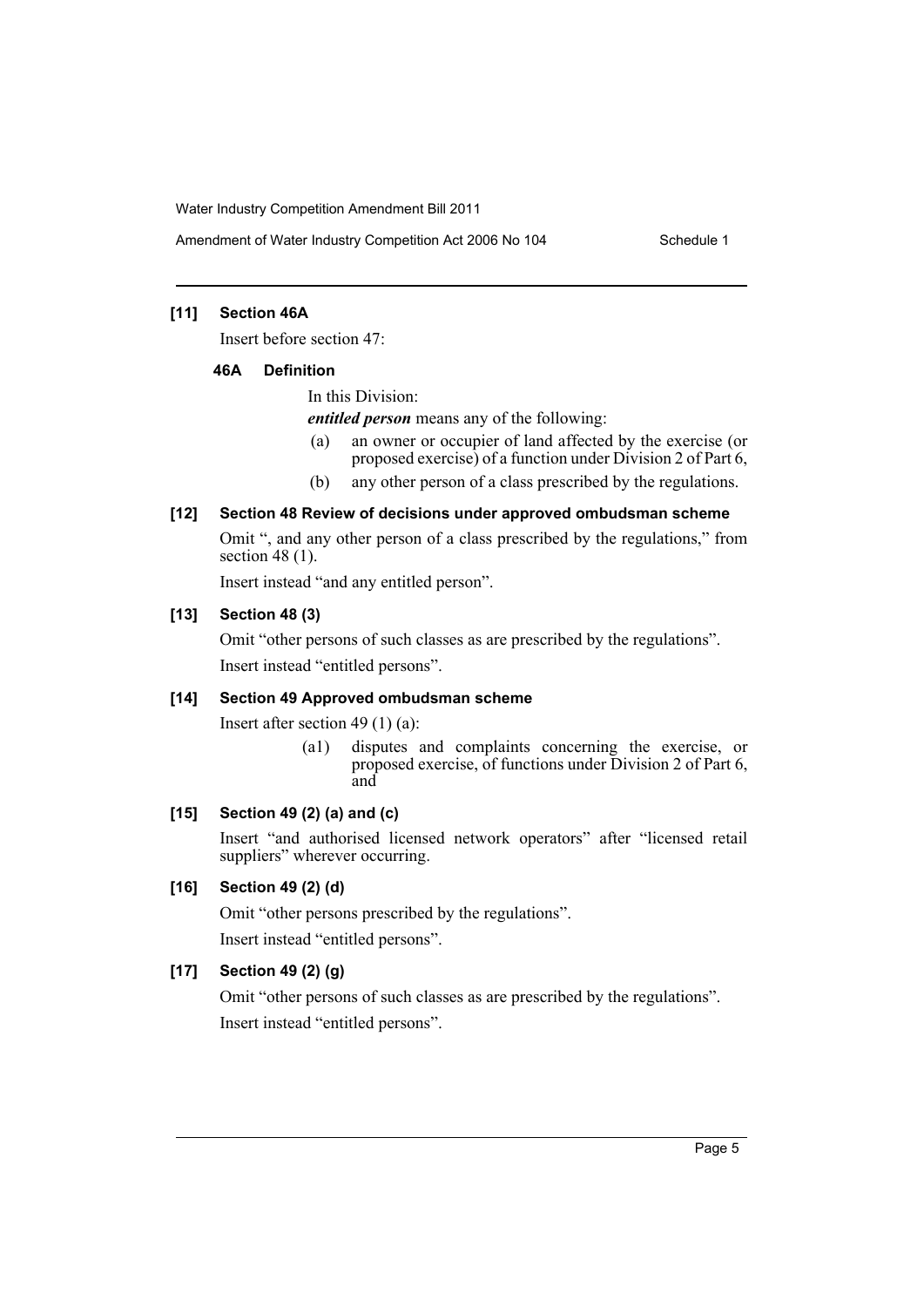## **[11] Section 46A**

Insert before section 47:

#### **46A Definition**

In this Division:

*entitled person* means any of the following:

- (a) an owner or occupier of land affected by the exercise (or proposed exercise) of a function under Division 2 of Part 6,
- (b) any other person of a class prescribed by the regulations.

## **[12] Section 48 Review of decisions under approved ombudsman scheme**

Omit ", and any other person of a class prescribed by the regulations," from section 48 $(1)$ .

Insert instead "and any entitled person".

## **[13] Section 48 (3)**

Omit "other persons of such classes as are prescribed by the regulations". Insert instead "entitled persons".

## **[14] Section 49 Approved ombudsman scheme**

Insert after section 49 (1) (a):

(a1) disputes and complaints concerning the exercise, or proposed exercise, of functions under Division 2 of Part 6, and

## **[15] Section 49 (2) (a) and (c)**

Insert "and authorised licensed network operators" after "licensed retail suppliers" wherever occurring.

## **[16] Section 49 (2) (d)**

Omit "other persons prescribed by the regulations".

Insert instead "entitled persons".

## **[17] Section 49 (2) (g)**

Omit "other persons of such classes as are prescribed by the regulations". Insert instead "entitled persons".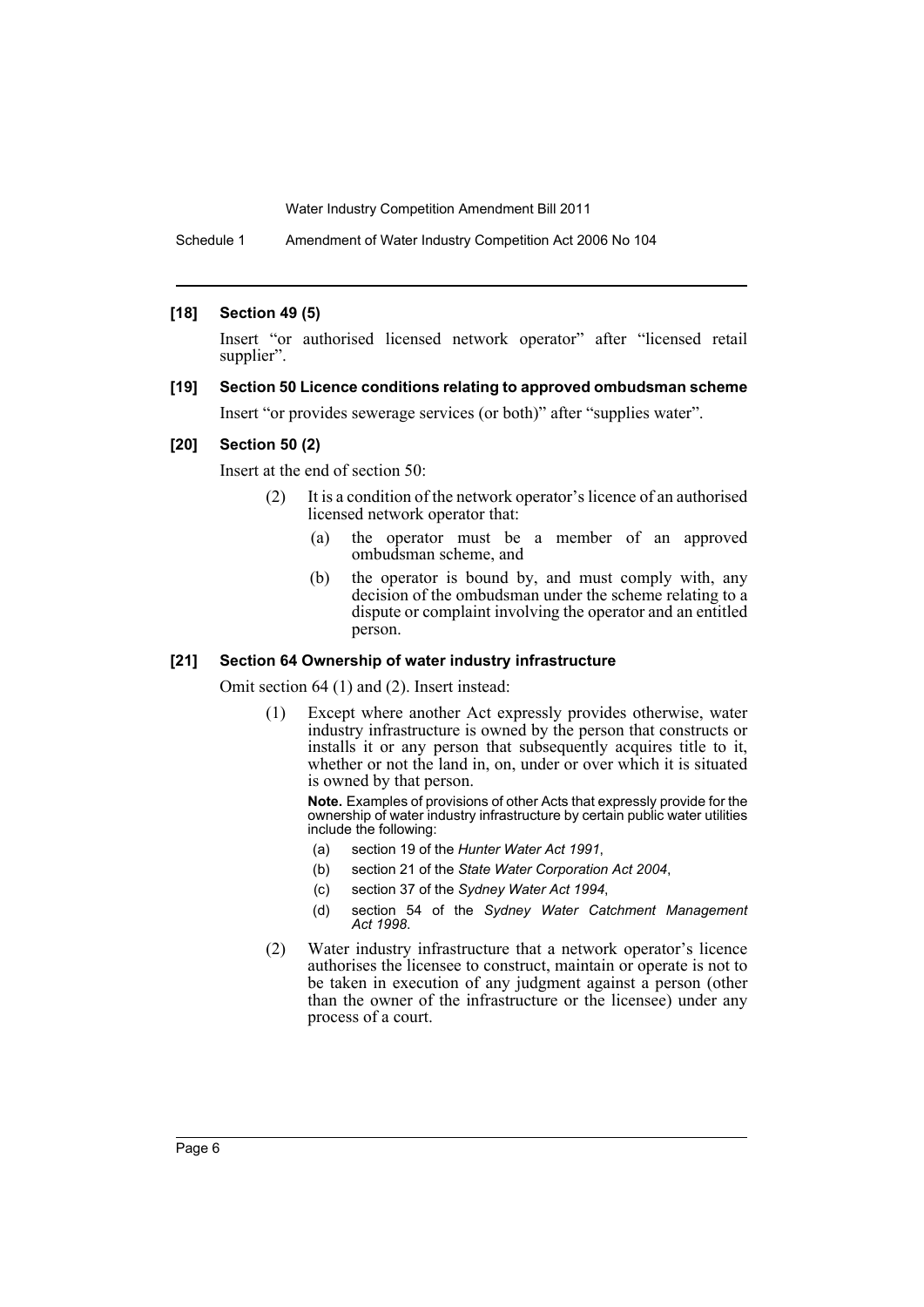Schedule 1 Amendment of Water Industry Competition Act 2006 No 104

#### **[18] Section 49 (5)**

Insert "or authorised licensed network operator" after "licensed retail supplier".

**[19] Section 50 Licence conditions relating to approved ombudsman scheme** Insert "or provides sewerage services (or both)" after "supplies water".

#### **[20] Section 50 (2)**

Insert at the end of section 50:

- (2) It is a condition of the network operator's licence of an authorised licensed network operator that:
	- (a) the operator must be a member of an approved ombudsman scheme, and
	- (b) the operator is bound by, and must comply with, any decision of the ombudsman under the scheme relating to a dispute or complaint involving the operator and an entitled person.

#### **[21] Section 64 Ownership of water industry infrastructure**

Omit section 64 (1) and (2). Insert instead:

(1) Except where another Act expressly provides otherwise, water industry infrastructure is owned by the person that constructs or installs it or any person that subsequently acquires title to it, whether or not the land in, on, under or over which it is situated is owned by that person.

**Note.** Examples of provisions of other Acts that expressly provide for the ownership of water industry infrastructure by certain public water utilities include the following:

- (a) section 19 of the *Hunter Water Act 1991*,
- (b) section 21 of the *State Water Corporation Act 2004*,
- (c) section 37 of the *Sydney Water Act 1994*,
- (d) section 54 of the *Sydney Water Catchment Management Act 1998*.
- (2) Water industry infrastructure that a network operator's licence authorises the licensee to construct, maintain or operate is not to be taken in execution of any judgment against a person (other than the owner of the infrastructure or the licensee) under any process of a court.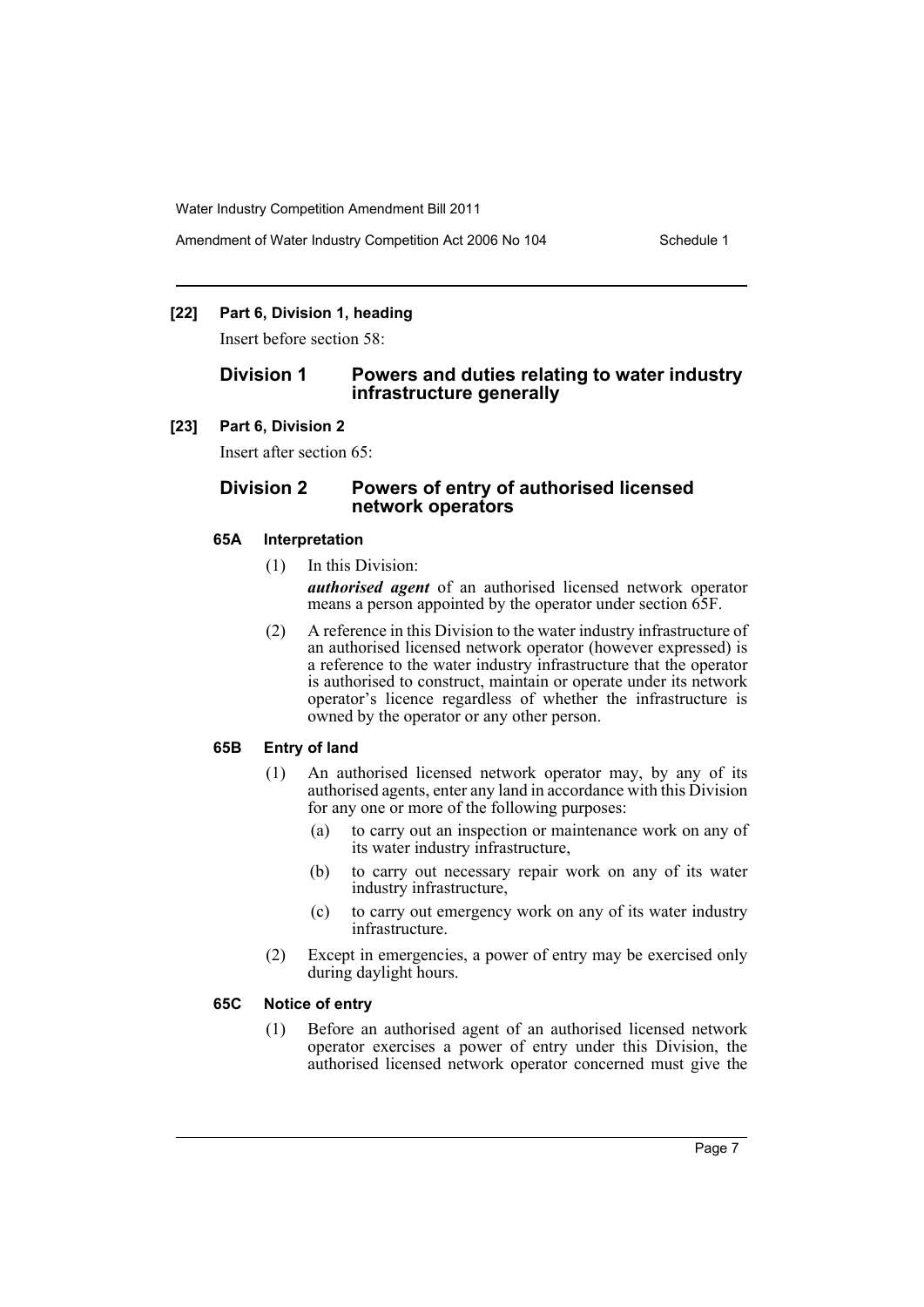## **[22] Part 6, Division 1, heading**

Insert before section 58:

## **Division 1 Powers and duties relating to water industry infrastructure generally**

#### **[23] Part 6, Division 2**

Insert after section 65:

## **Division 2 Powers of entry of authorised licensed network operators**

#### **65A Interpretation**

(1) In this Division:

*authorised agent* of an authorised licensed network operator means a person appointed by the operator under section 65F.

(2) A reference in this Division to the water industry infrastructure of an authorised licensed network operator (however expressed) is a reference to the water industry infrastructure that the operator is authorised to construct, maintain or operate under its network operator's licence regardless of whether the infrastructure is owned by the operator or any other person.

#### **65B Entry of land**

- (1) An authorised licensed network operator may, by any of its authorised agents, enter any land in accordance with this Division for any one or more of the following purposes:
	- (a) to carry out an inspection or maintenance work on any of its water industry infrastructure,
	- (b) to carry out necessary repair work on any of its water industry infrastructure,
	- (c) to carry out emergency work on any of its water industry infrastructure.
- (2) Except in emergencies, a power of entry may be exercised only during daylight hours.

## **65C Notice of entry**

(1) Before an authorised agent of an authorised licensed network operator exercises a power of entry under this Division, the authorised licensed network operator concerned must give the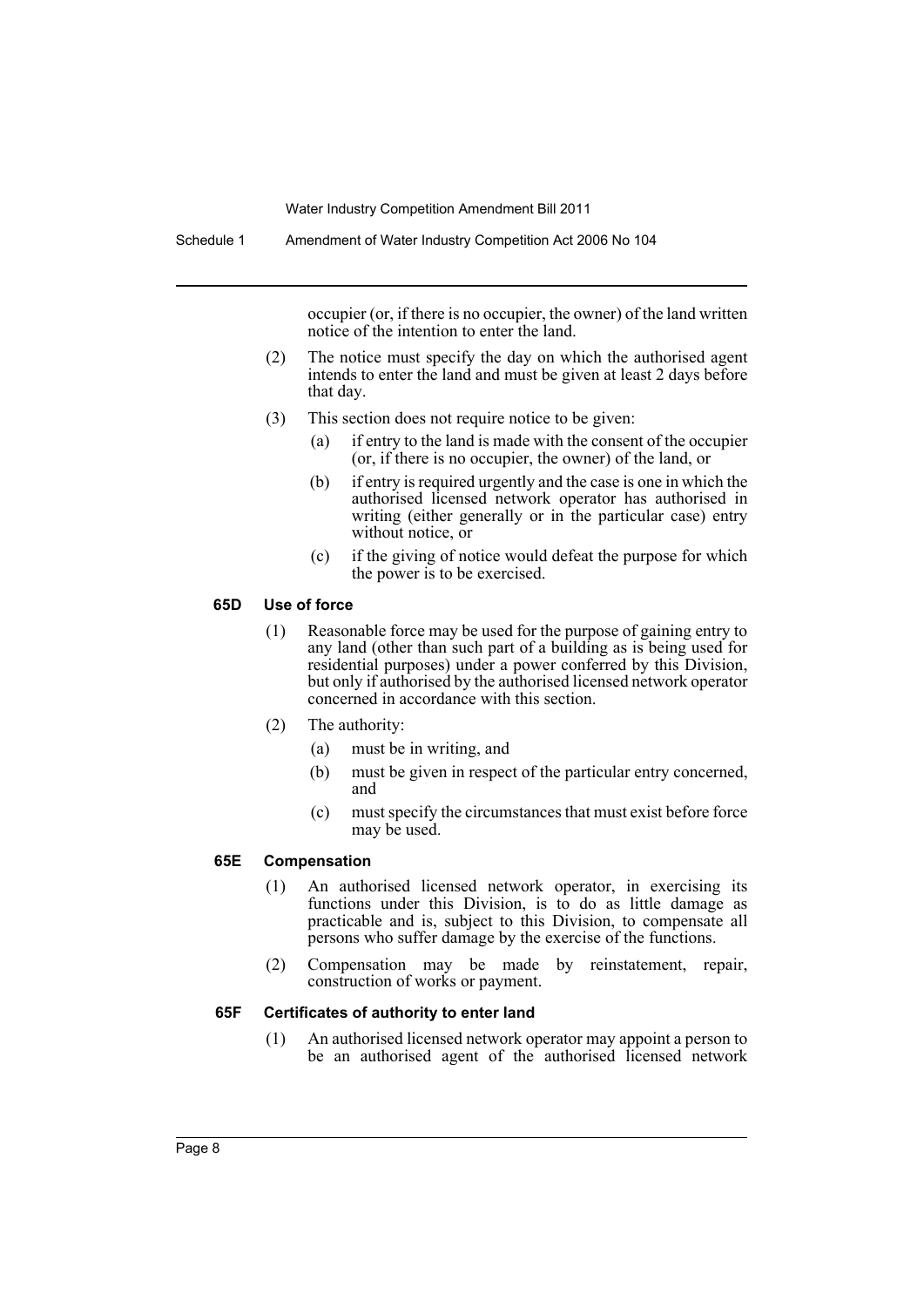occupier (or, if there is no occupier, the owner) of the land written notice of the intention to enter the land.

- (2) The notice must specify the day on which the authorised agent intends to enter the land and must be given at least 2 days before that day.
- (3) This section does not require notice to be given:
	- (a) if entry to the land is made with the consent of the occupier (or, if there is no occupier, the owner) of the land, or
	- (b) if entry is required urgently and the case is one in which the authorised licensed network operator has authorised in writing (either generally or in the particular case) entry without notice, or
	- (c) if the giving of notice would defeat the purpose for which the power is to be exercised.

#### **65D Use of force**

- (1) Reasonable force may be used for the purpose of gaining entry to any land (other than such part of a building as is being used for residential purposes) under a power conferred by this Division, but only if authorised by the authorised licensed network operator concerned in accordance with this section.
- (2) The authority:
	- (a) must be in writing, and
	- (b) must be given in respect of the particular entry concerned, and
	- (c) must specify the circumstances that must exist before force may be used.

## **65E Compensation**

- (1) An authorised licensed network operator, in exercising its functions under this Division, is to do as little damage as practicable and is, subject to this Division, to compensate all persons who suffer damage by the exercise of the functions.
- (2) Compensation may be made by reinstatement, repair, construction of works or payment.

## **65F Certificates of authority to enter land**

(1) An authorised licensed network operator may appoint a person to be an authorised agent of the authorised licensed network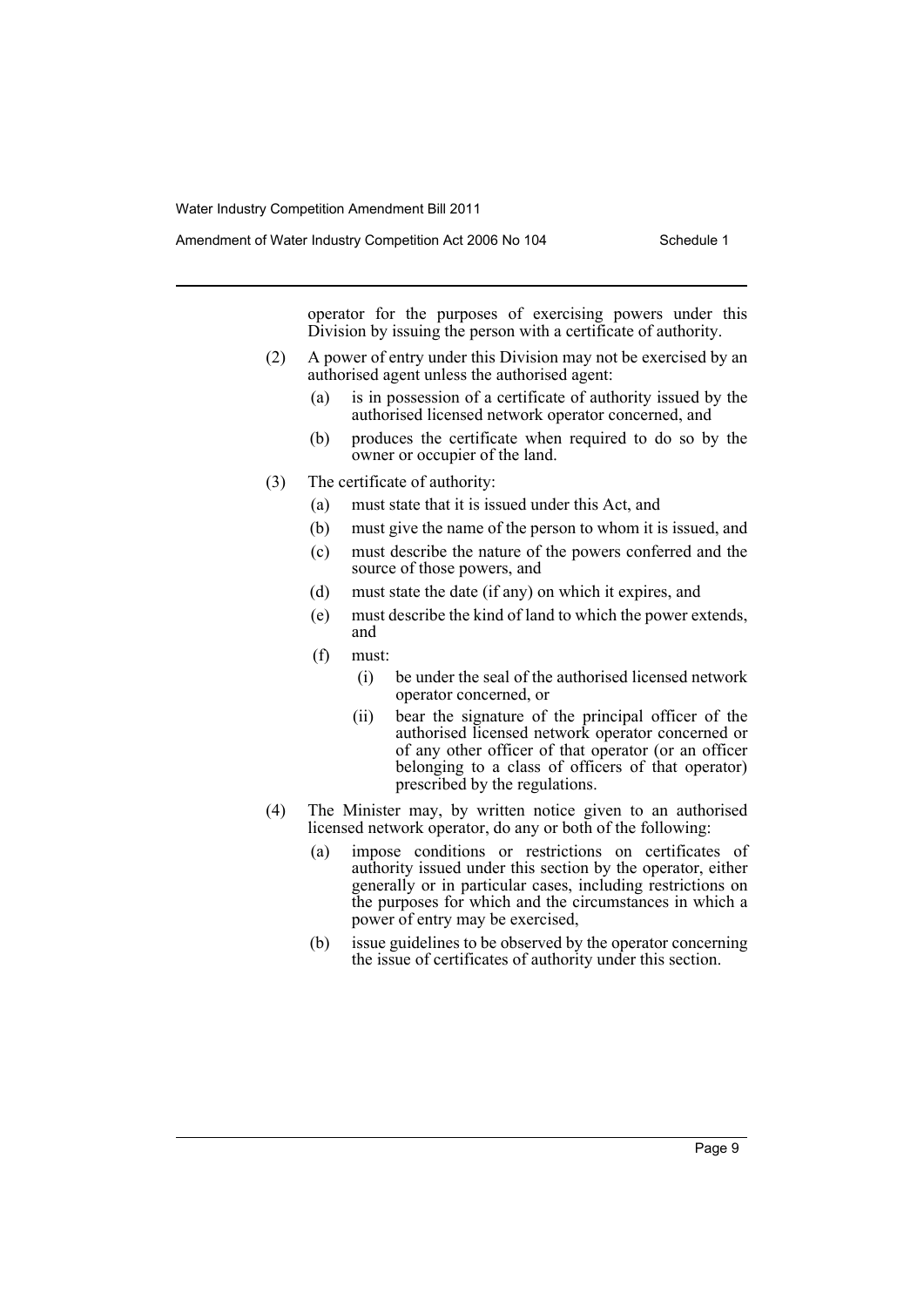Amendment of Water Industry Competition Act 2006 No 104 Schedule 1

operator for the purposes of exercising powers under this Division by issuing the person with a certificate of authority.

- (2) A power of entry under this Division may not be exercised by an authorised agent unless the authorised agent:
	- (a) is in possession of a certificate of authority issued by the authorised licensed network operator concerned, and
	- (b) produces the certificate when required to do so by the owner or occupier of the land.
- (3) The certificate of authority:
	- (a) must state that it is issued under this Act, and
	- (b) must give the name of the person to whom it is issued, and
	- (c) must describe the nature of the powers conferred and the source of those powers, and
	- (d) must state the date (if any) on which it expires, and
	- (e) must describe the kind of land to which the power extends, and
	- (f) must:
		- (i) be under the seal of the authorised licensed network operator concerned, or
		- (ii) bear the signature of the principal officer of the authorised licensed network operator concerned or of any other officer of that operator (or an officer belonging to a class of officers of that operator) prescribed by the regulations.
- (4) The Minister may, by written notice given to an authorised licensed network operator, do any or both of the following:
	- (a) impose conditions or restrictions on certificates of authority issued under this section by the operator, either generally or in particular cases, including restrictions on the purposes for which and the circumstances in which a power of entry may be exercised,
	- (b) issue guidelines to be observed by the operator concerning the issue of certificates of authority under this section.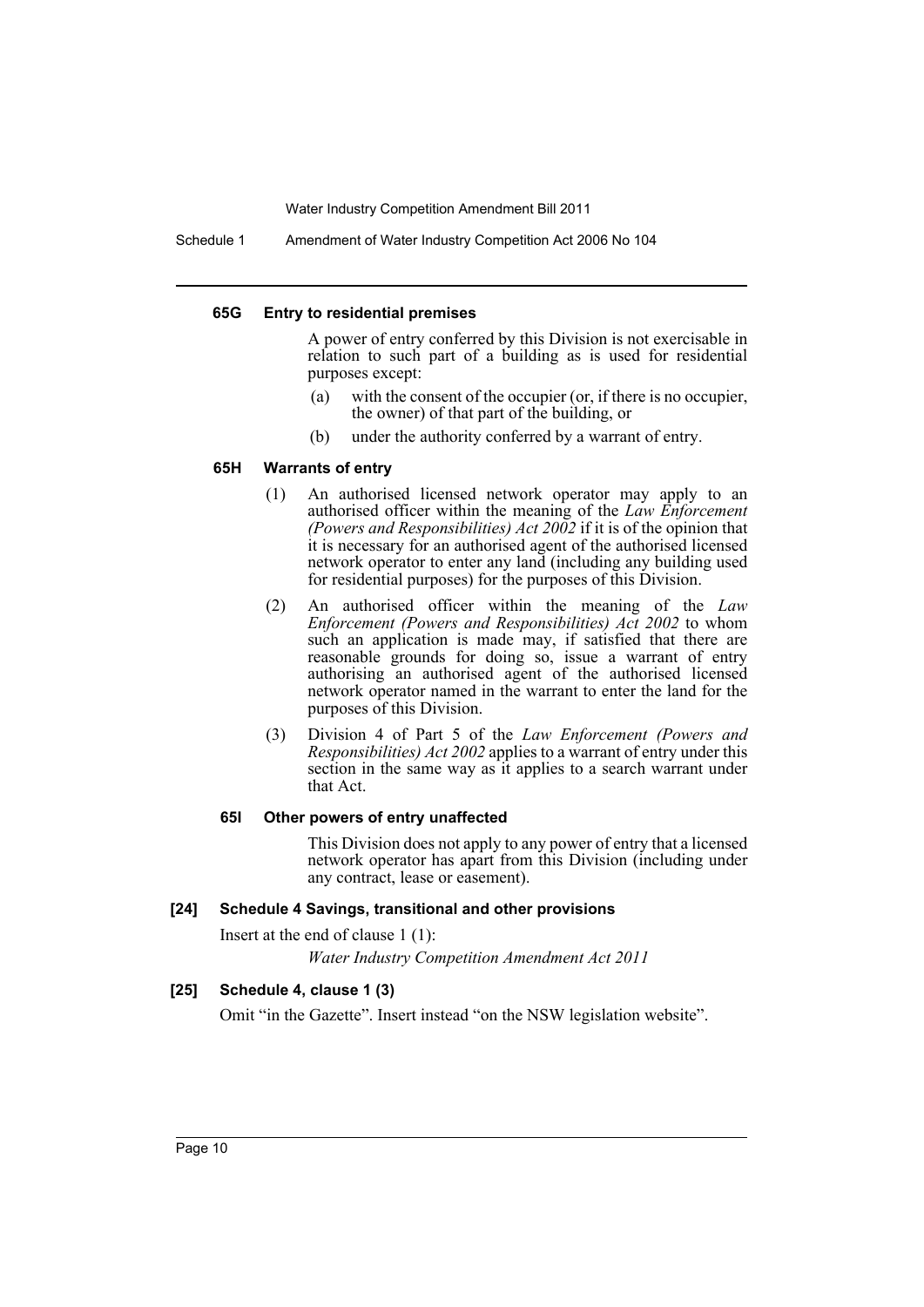Schedule 1 Amendment of Water Industry Competition Act 2006 No 104

#### **65G Entry to residential premises**

A power of entry conferred by this Division is not exercisable in relation to such part of a building as is used for residential purposes except:

- (a) with the consent of the occupier (or, if there is no occupier, the owner) of that part of the building, or
- (b) under the authority conferred by a warrant of entry.

## **65H Warrants of entry**

- (1) An authorised licensed network operator may apply to an authorised officer within the meaning of the *Law Enforcement (Powers and Responsibilities) Act 2002* if it is of the opinion that it is necessary for an authorised agent of the authorised licensed network operator to enter any land (including any building used for residential purposes) for the purposes of this Division.
- (2) An authorised officer within the meaning of the *Law Enforcement (Powers and Responsibilities) Act 2002* to whom such an application is made may, if satisfied that there are reasonable grounds for doing so, issue a warrant of entry authorising an authorised agent of the authorised licensed network operator named in the warrant to enter the land for the purposes of this Division.
- (3) Division 4 of Part 5 of the *Law Enforcement (Powers and Responsibilities) Act 2002* applies to a warrant of entry under this section in the same way as it applies to a search warrant under that Act.

## **65I Other powers of entry unaffected**

This Division does not apply to any power of entry that a licensed network operator has apart from this Division (including under any contract, lease or easement).

#### **[24] Schedule 4 Savings, transitional and other provisions**

Insert at the end of clause 1 (1):

*Water Industry Competition Amendment Act 2011*

## **[25] Schedule 4, clause 1 (3)**

Omit "in the Gazette". Insert instead "on the NSW legislation website".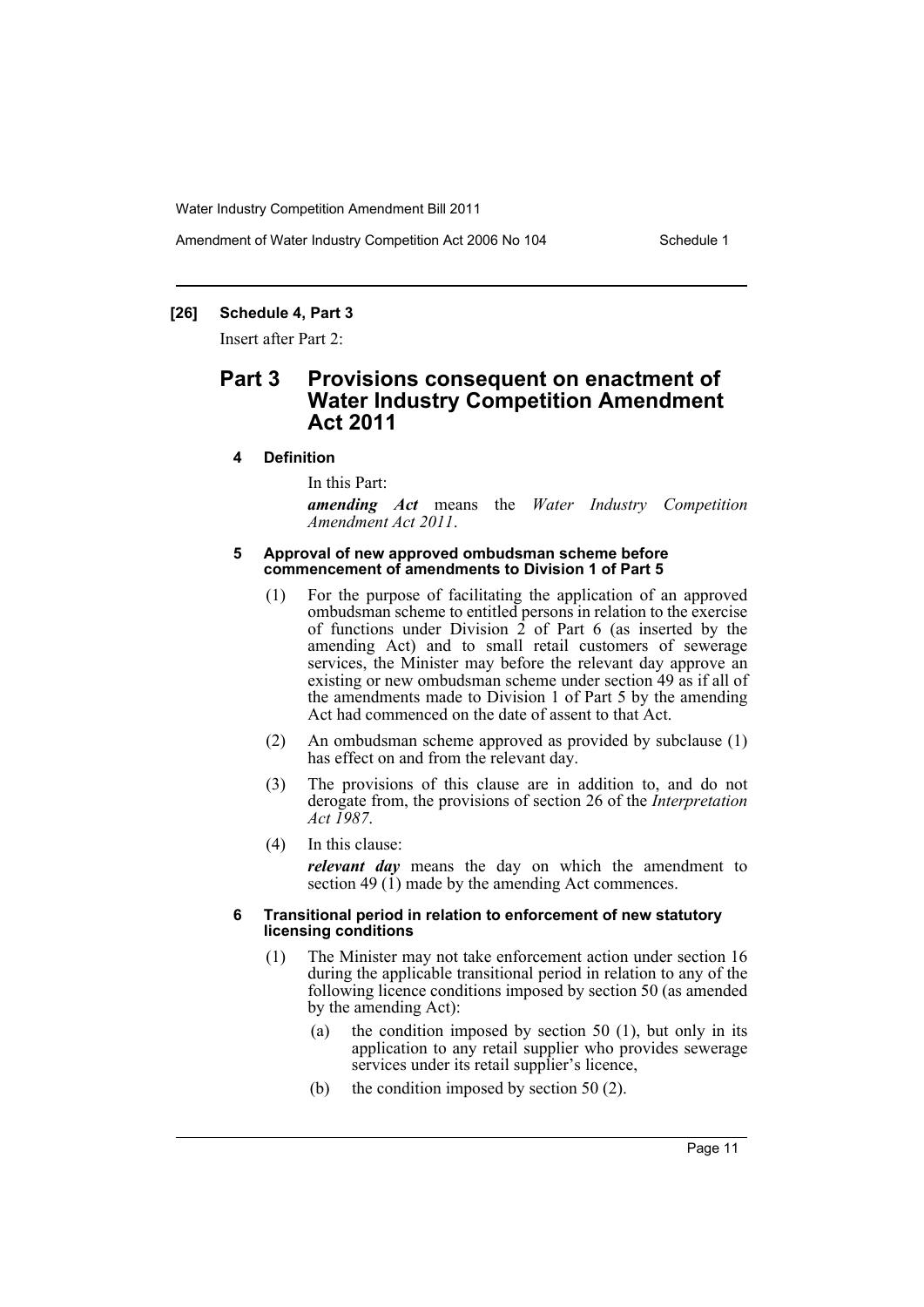## **[26] Schedule 4, Part 3**

Insert after Part 2:

## **Part 3 Provisions consequent on enactment of Water Industry Competition Amendment Act 2011**

#### **4 Definition**

In this Part:

*amending Act* means the *Water Industry Competition Amendment Act 2011*.

#### **5 Approval of new approved ombudsman scheme before commencement of amendments to Division 1 of Part 5**

- (1) For the purpose of facilitating the application of an approved ombudsman scheme to entitled persons in relation to the exercise of functions under Division  $\dot{2}$  of Part 6 (as inserted by the amending Act) and to small retail customers of sewerage services, the Minister may before the relevant day approve an existing or new ombudsman scheme under section 49 as if all of the amendments made to Division 1 of Part 5 by the amending Act had commenced on the date of assent to that Act.
- (2) An ombudsman scheme approved as provided by subclause (1) has effect on and from the relevant day.
- (3) The provisions of this clause are in addition to, and do not derogate from, the provisions of section 26 of the *Interpretation Act 1987*.
- (4) In this clause:

*relevant day* means the day on which the amendment to section 49 (1) made by the amending Act commences.

#### **6 Transitional period in relation to enforcement of new statutory licensing conditions**

- (1) The Minister may not take enforcement action under section 16 during the applicable transitional period in relation to any of the following licence conditions imposed by section 50 (as amended by the amending Act):
	- (a) the condition imposed by section 50 (1), but only in its application to any retail supplier who provides sewerage services under its retail supplier's licence,
	- (b) the condition imposed by section 50 (2).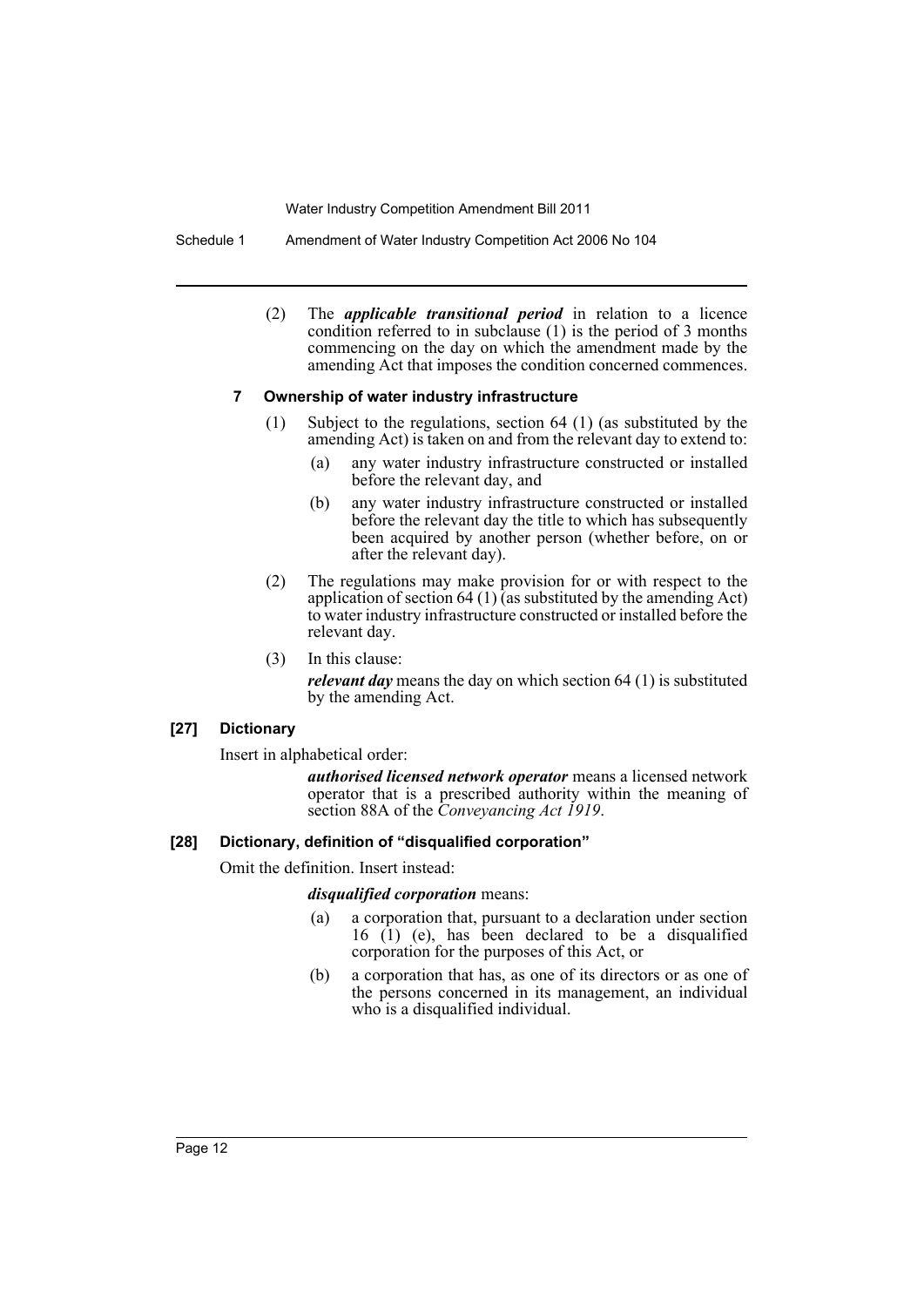Schedule 1 Amendment of Water Industry Competition Act 2006 No 104

(2) The *applicable transitional period* in relation to a licence condition referred to in subclause (1) is the period of 3 months commencing on the day on which the amendment made by the amending Act that imposes the condition concerned commences.

#### **7 Ownership of water industry infrastructure**

- (1) Subject to the regulations, section 64 (1) (as substituted by the amending Act) is taken on and from the relevant day to extend to:
	- (a) any water industry infrastructure constructed or installed before the relevant day, and
	- (b) any water industry infrastructure constructed or installed before the relevant day the title to which has subsequently been acquired by another person (whether before, on or after the relevant day).
- (2) The regulations may make provision for or with respect to the application of section 64 (1) (as substituted by the amending Act) to water industry infrastructure constructed or installed before the relevant day.
- (3) In this clause:

*relevant day* means the day on which section 64 (1) is substituted by the amending Act.

## **[27] Dictionary**

Insert in alphabetical order:

*authorised licensed network operator* means a licensed network operator that is a prescribed authority within the meaning of section 88A of the *Conveyancing Act 1919*.

## **[28] Dictionary, definition of "disqualified corporation"**

Omit the definition. Insert instead:

## *disqualified corporation* means:

- (a) a corporation that, pursuant to a declaration under section 16 (1) (e), has been declared to be a disqualified corporation for the purposes of this Act, or
- (b) a corporation that has, as one of its directors or as one of the persons concerned in its management, an individual who is a disqualified individual.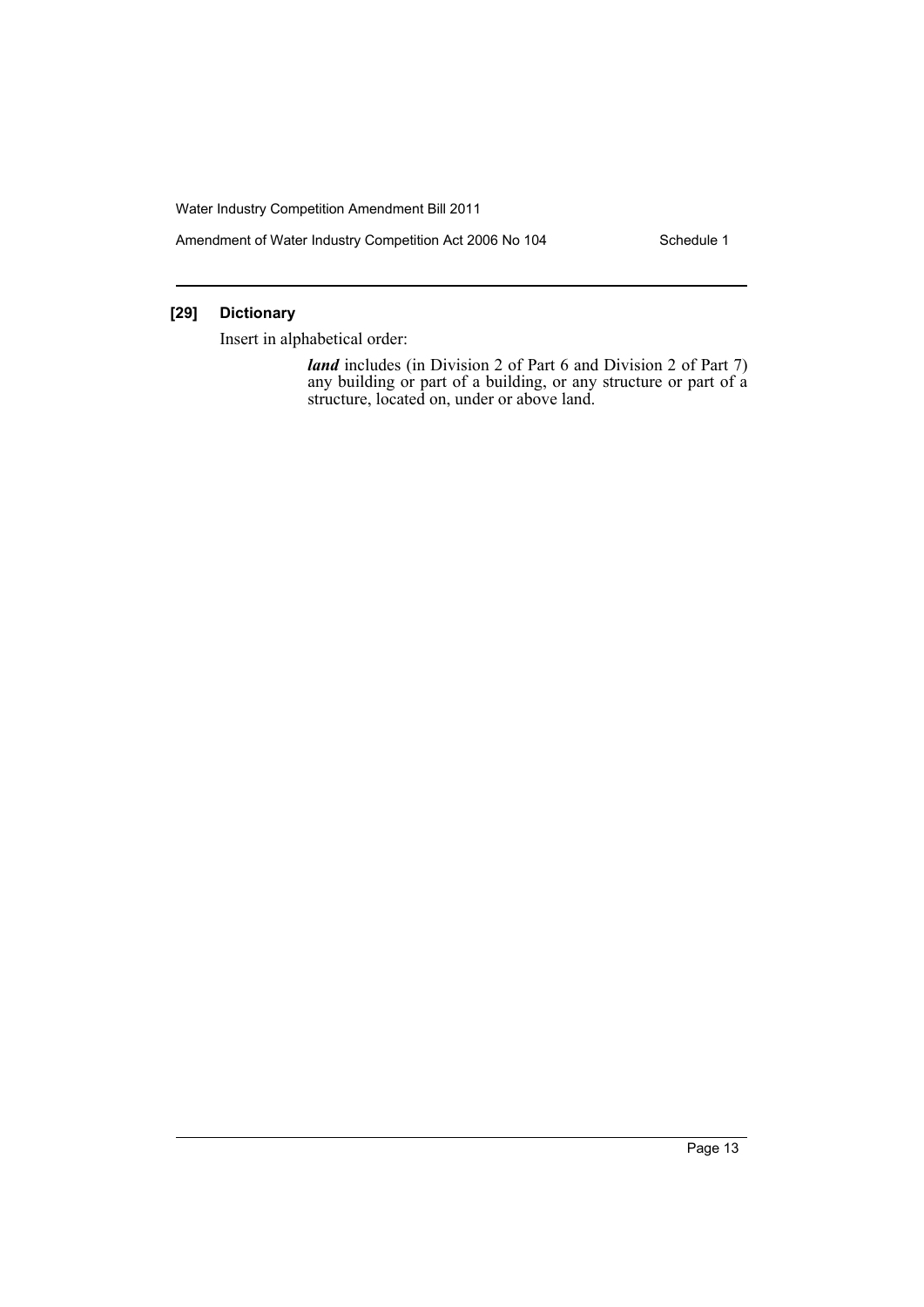Amendment of Water Industry Competition Act 2006 No 104 Schedule 1

## **[29] Dictionary**

Insert in alphabetical order:

*land* includes (in Division 2 of Part 6 and Division 2 of Part 7) any building or part of a building, or any structure or part of a structure, located on, under or above land.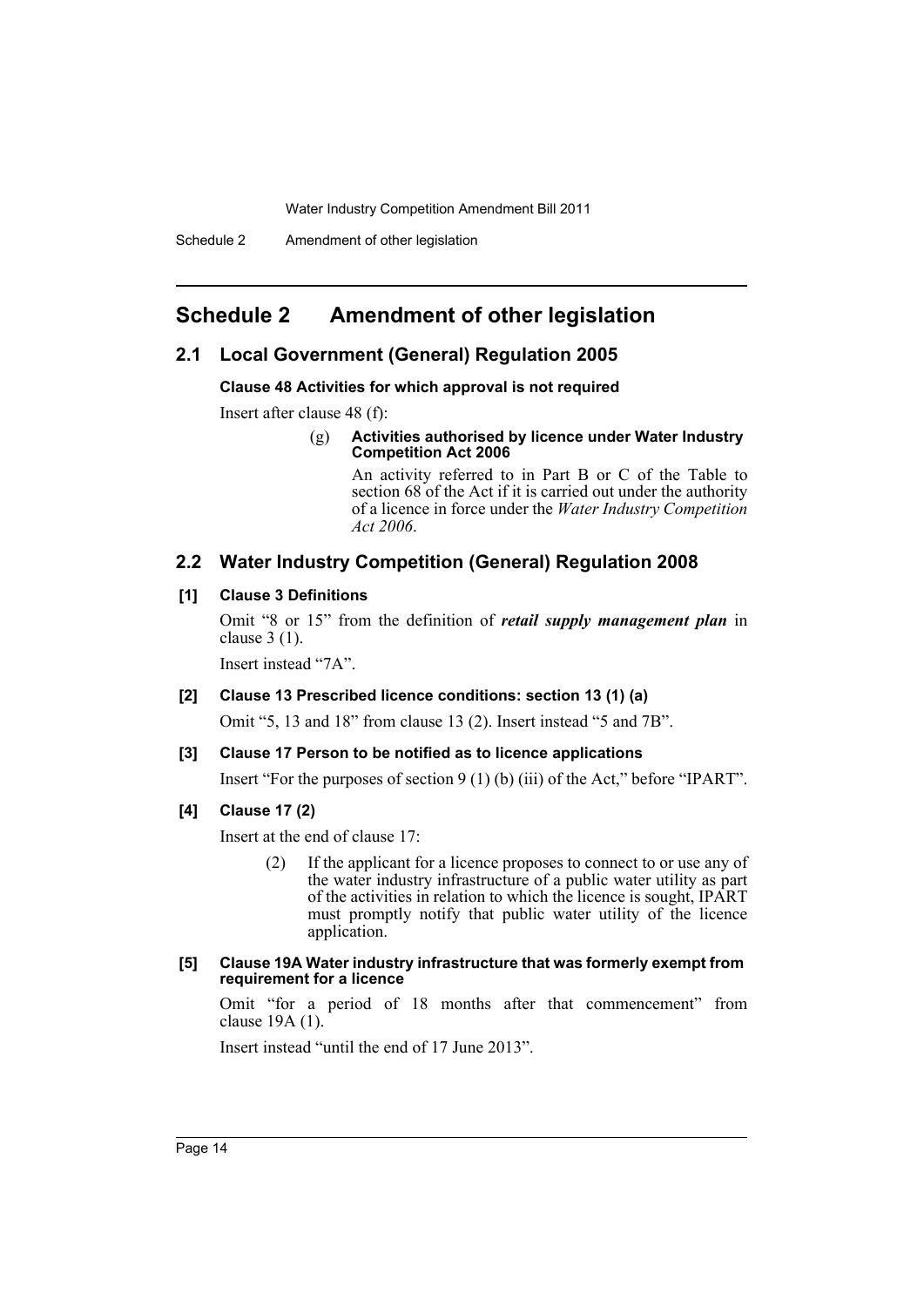## <span id="page-15-0"></span>**Schedule 2 Amendment of other legislation**

## **2.1 Local Government (General) Regulation 2005**

**Clause 48 Activities for which approval is not required**

Insert after clause 48 (f):

#### (g) **Activities authorised by licence under Water Industry Competition Act 2006**

An activity referred to in Part B or C of the Table to section 68 of the Act if it is carried out under the authority of a licence in force under the *Water Industry Competition Act 2006*.

## **2.2 Water Industry Competition (General) Regulation 2008**

#### **[1] Clause 3 Definitions**

Omit "8 or 15" from the definition of *retail supply management plan* in clause 3 (1).

Insert instead "7A".

#### **[2] Clause 13 Prescribed licence conditions: section 13 (1) (a)**

Omit "5, 13 and 18" from clause 13 (2). Insert instead "5 and 7B".

#### **[3] Clause 17 Person to be notified as to licence applications**

Insert "For the purposes of section 9 (1) (b) (iii) of the Act," before "IPART".

#### **[4] Clause 17 (2)**

Insert at the end of clause 17:

(2) If the applicant for a licence proposes to connect to or use any of the water industry infrastructure of a public water utility as part of the activities in relation to which the licence is sought, IPART must promptly notify that public water utility of the licence application.

#### **[5] Clause 19A Water industry infrastructure that was formerly exempt from requirement for a licence**

Omit "for a period of 18 months after that commencement" from clause 19A (1).

Insert instead "until the end of 17 June 2013".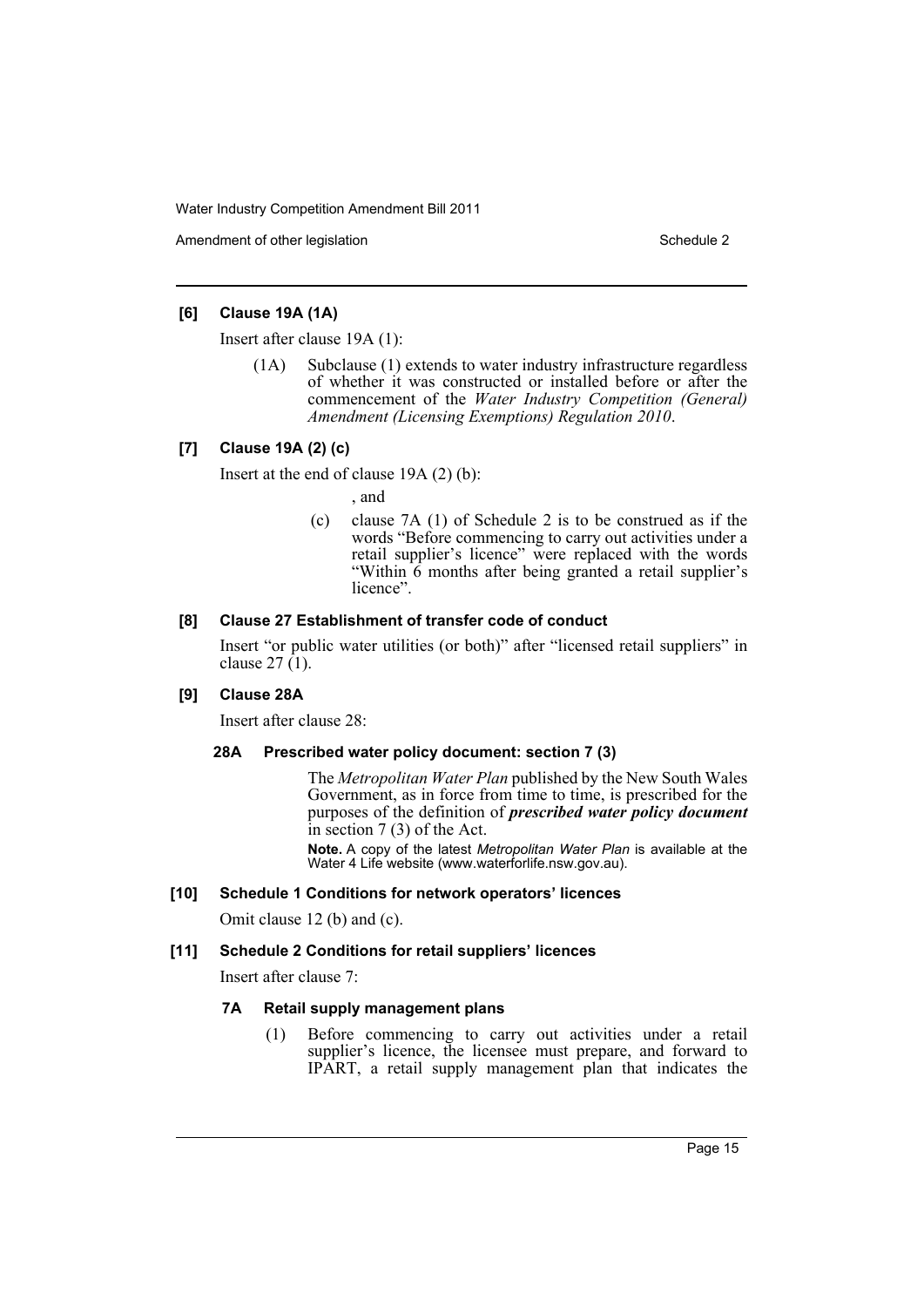Amendment of other legislation Schedule 2

## **[6] Clause 19A (1A)**

Insert after clause 19A (1):

(1A) Subclause (1) extends to water industry infrastructure regardless of whether it was constructed or installed before or after the commencement of the *Water Industry Competition (General) Amendment (Licensing Exemptions) Regulation 2010*.

## **[7] Clause 19A (2) (c)**

Insert at the end of clause 19A (2) (b):

- , and
- (c) clause 7A (1) of Schedule 2 is to be construed as if the words "Before commencing to carry out activities under a retail supplier's licence" were replaced with the words "Within 6 months after being granted a retail supplier's licence".

## **[8] Clause 27 Establishment of transfer code of conduct**

Insert "or public water utilities (or both)" after "licensed retail suppliers" in clause  $27(1)$ .

#### **[9] Clause 28A**

Insert after clause 28:

#### **28A Prescribed water policy document: section 7 (3)**

The *Metropolitan Water Plan* published by the New South Wales Government, as in force from time to time, is prescribed for the purposes of the definition of *prescribed water policy document* in section 7 (3) of the Act.

**Note.** A copy of the latest *Metropolitan Water Plan* is available at the Water 4 Life website (www.waterforlife.nsw.gov.au).

#### **[10] Schedule 1 Conditions for network operators' licences**

Omit clause 12 (b) and (c).

#### **[11] Schedule 2 Conditions for retail suppliers' licences**

Insert after clause 7:

## **7A Retail supply management plans**

(1) Before commencing to carry out activities under a retail supplier's licence, the licensee must prepare, and forward to IPART, a retail supply management plan that indicates the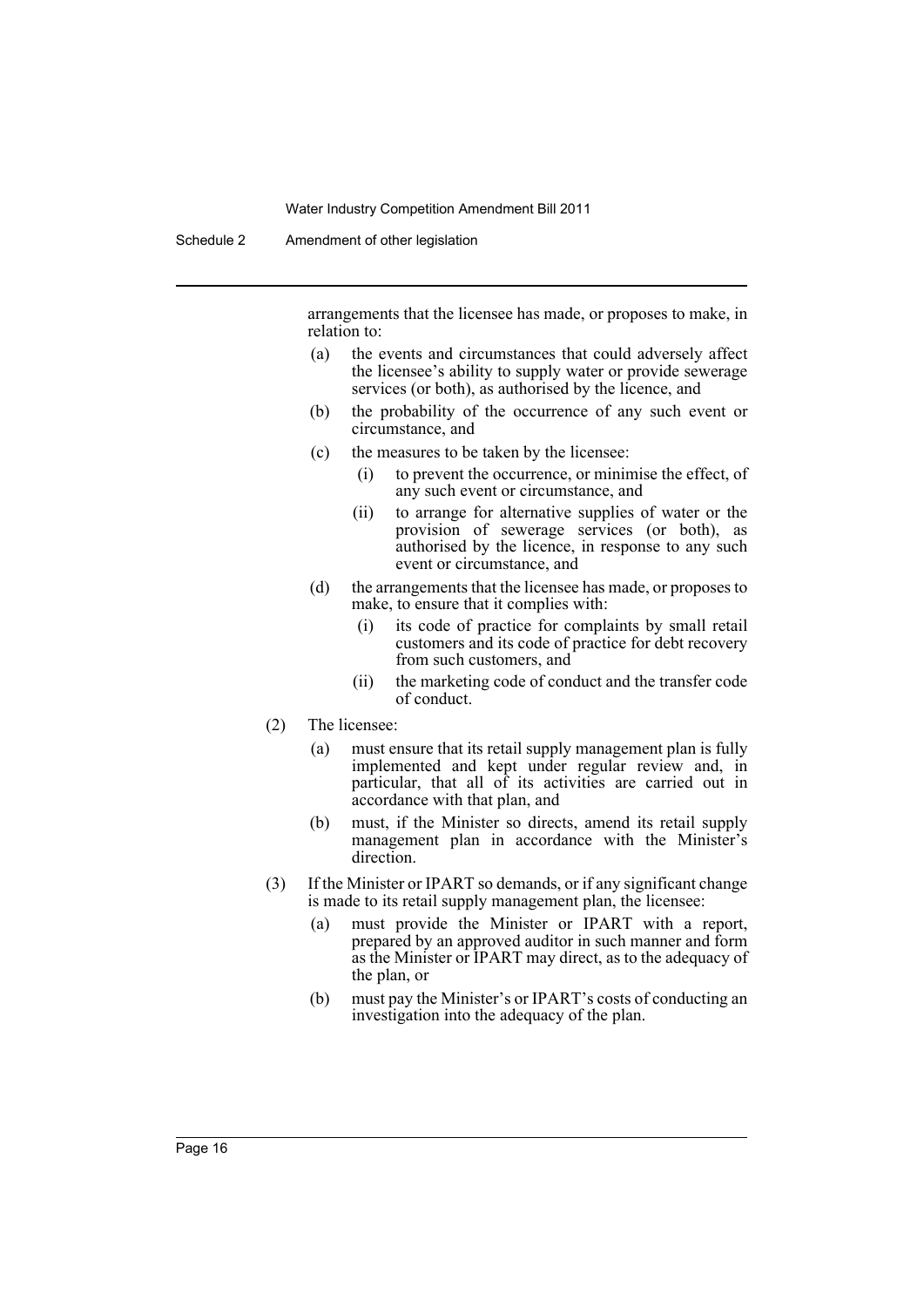Schedule 2 Amendment of other legislation

arrangements that the licensee has made, or proposes to make, in relation to:

- (a) the events and circumstances that could adversely affect the licensee's ability to supply water or provide sewerage services (or both), as authorised by the licence, and
- (b) the probability of the occurrence of any such event or circumstance, and
- (c) the measures to be taken by the licensee:
	- (i) to prevent the occurrence, or minimise the effect, of any such event or circumstance, and
	- (ii) to arrange for alternative supplies of water or the provision of sewerage services (or both), as authorised by the licence, in response to any such event or circumstance, and
- (d) the arrangements that the licensee has made, or proposes to make, to ensure that it complies with:
	- (i) its code of practice for complaints by small retail customers and its code of practice for debt recovery from such customers, and
	- (ii) the marketing code of conduct and the transfer code of conduct.
- (2) The licensee:
	- (a) must ensure that its retail supply management plan is fully implemented and kept under regular review and, in particular, that all of its activities are carried out in accordance with that plan, and
	- (b) must, if the Minister so directs, amend its retail supply management plan in accordance with the Minister's direction.
- (3) If the Minister or IPART so demands, or if any significant change is made to its retail supply management plan, the licensee:
	- (a) must provide the Minister or IPART with a report, prepared by an approved auditor in such manner and form as the Minister or IPART may direct, as to the adequacy of the plan, or
	- (b) must pay the Minister's or IPART's costs of conducting an investigation into the adequacy of the plan.